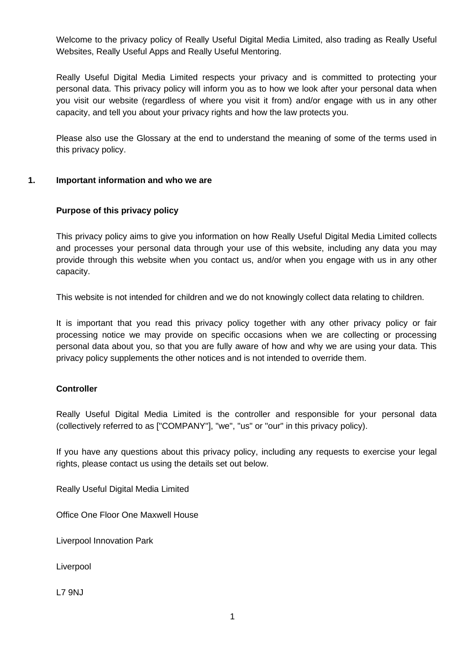Welcome to the privacy policy of Really Useful Digital Media Limited, also trading as Really Useful Websites, Really Useful Apps and Really Useful Mentoring.

Really Useful Digital Media Limited respects your privacy and is committed to protecting your personal data. This privacy policy will inform you as to how we look after your personal data when you visit our website (regardless of where you visit it from) and/or engage with us in any other capacity, and tell you about your privacy rights and how the law protects you.

Please also use the Glossary at the end to understand the meaning of some of the terms used in this privacy policy.

## **1. Important information and who we are**

## **Purpose of this privacy policy**

This privacy policy aims to give you information on how Really Useful Digital Media Limited collects and processes your personal data through your use of this website, including any data you may provide through this website when you contact us, and/or when you engage with us in any other capacity.

This website is not intended for children and we do not knowingly collect data relating to children.

It is important that you read this privacy policy together with any other privacy policy or fair processing notice we may provide on specific occasions when we are collecting or processing personal data about you, so that you are fully aware of how and why we are using your data. This privacy policy supplements the other notices and is not intended to override them.

# **Controller**

Really Useful Digital Media Limited is the controller and responsible for your personal data (collectively referred to as ["COMPANY"], "we", "us" or "our" in this privacy policy).

If you have any questions about this privacy policy, including any requests to exercise your legal rights, please contact us using the details set out below.

Really Useful Digital Media Limited

Office One Floor One Maxwell House

Liverpool Innovation Park

Liverpool

L7 9NJ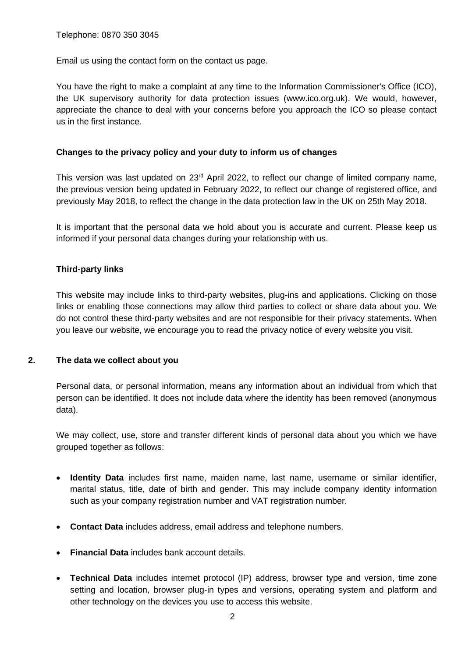Email us using the contact form on the contact us page.

You have the right to make a complaint at any time to the Information Commissioner's Office (ICO), the UK supervisory authority for data protection issues (www.ico.org.uk). We would, however, appreciate the chance to deal with your concerns before you approach the ICO so please contact us in the first instance.

#### **Changes to the privacy policy and your duty to inform us of changes**

This version was last updated on 23<sup>rd</sup> April 2022, to reflect our change of limited company name, the previous version being updated in February 2022, to reflect our change of registered office, and previously May 2018, to reflect the change in the data protection law in the UK on 25th May 2018.

It is important that the personal data we hold about you is accurate and current. Please keep us informed if your personal data changes during your relationship with us.

### **Third-party links**

This website may include links to third-party websites, plug-ins and applications. Clicking on those links or enabling those connections may allow third parties to collect or share data about you. We do not control these third-party websites and are not responsible for their privacy statements. When you leave our website, we encourage you to read the privacy notice of every website you visit.

#### **2. The data we collect about you**

Personal data, or personal information, means any information about an individual from which that person can be identified. It does not include data where the identity has been removed (anonymous data).

We may collect, use, store and transfer different kinds of personal data about you which we have grouped together as follows:

- **Identity Data** includes first name, maiden name, last name, username or similar identifier, marital status, title, date of birth and gender. This may include company identity information such as your company registration number and VAT registration number.
- **Contact Data** includes address, email address and telephone numbers.
- **Financial Data** includes bank account details.
- **Technical Data** includes internet protocol (IP) address, browser type and version, time zone setting and location, browser plug-in types and versions, operating system and platform and other technology on the devices you use to access this website.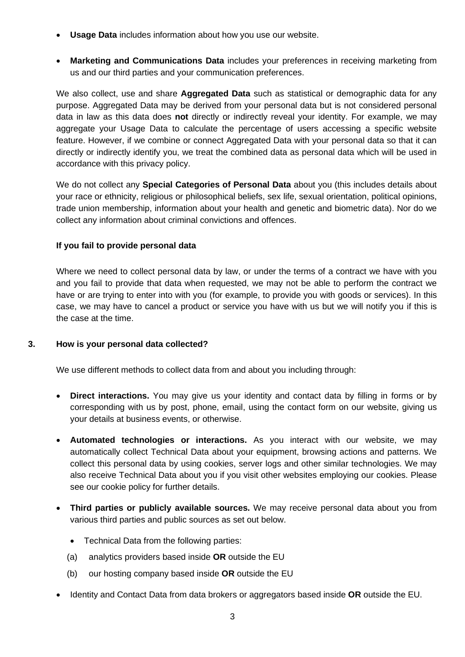- **Usage Data** includes information about how you use our website.
- **Marketing and Communications Data** includes your preferences in receiving marketing from us and our third parties and your communication preferences.

We also collect, use and share **Aggregated Data** such as statistical or demographic data for any purpose. Aggregated Data may be derived from your personal data but is not considered personal data in law as this data does **not** directly or indirectly reveal your identity. For example, we may aggregate your Usage Data to calculate the percentage of users accessing a specific website feature. However, if we combine or connect Aggregated Data with your personal data so that it can directly or indirectly identify you, we treat the combined data as personal data which will be used in accordance with this privacy policy.

We do not collect any **Special Categories of Personal Data** about you (this includes details about your race or ethnicity, religious or philosophical beliefs, sex life, sexual orientation, political opinions, trade union membership, information about your health and genetic and biometric data). Nor do we collect any information about criminal convictions and offences.

# **If you fail to provide personal data**

Where we need to collect personal data by law, or under the terms of a contract we have with you and you fail to provide that data when requested, we may not be able to perform the contract we have or are trying to enter into with you (for example, to provide you with goods or services). In this case, we may have to cancel a product or service you have with us but we will notify you if this is the case at the time.

# **3. How is your personal data collected?**

We use different methods to collect data from and about you including through:

- **Direct interactions.** You may give us your identity and contact data by filling in forms or by corresponding with us by post, phone, email, using the contact form on our website, giving us your details at business events, or otherwise.
- **Automated technologies or interactions.** As you interact with our website, we may automatically collect Technical Data about your equipment, browsing actions and patterns. We collect this personal data by using cookies, server logs and other similar technologies. We may also receive Technical Data about you if you visit other websites employing our cookies. Please see our cookie policy for further details.
- **Third parties or publicly available sources.** We may receive personal data about you from various third parties and public sources as set out below.
	- Technical Data from the following parties:
	- (a) analytics providers based inside **OR** outside the EU
	- (b) our hosting company based inside **OR** outside the EU
- Identity and Contact Data from data brokers or aggregators based inside **OR** outside the EU.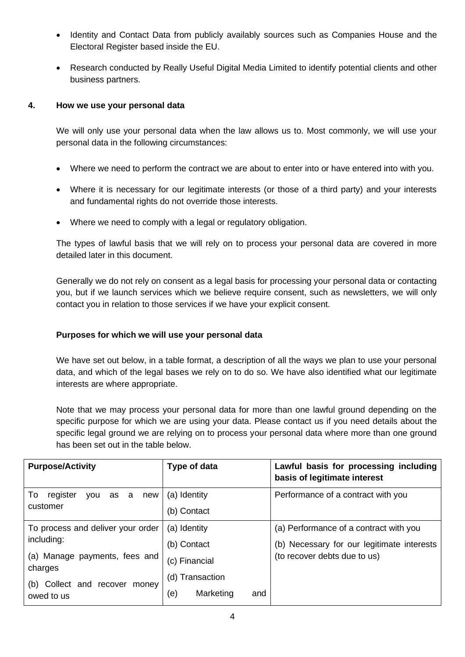- Identity and Contact Data from publicly availably sources such as Companies House and the Electoral Register based inside the EU.
- Research conducted by Really Useful Digital Media Limited to identify potential clients and other business partners.

## **4. How we use your personal data**

We will only use your personal data when the law allows us to. Most commonly, we will use your personal data in the following circumstances:

- Where we need to perform the contract we are about to enter into or have entered into with you.
- Where it is necessary for our legitimate interests (or those of a third party) and your interests and fundamental rights do not override those interests.
- Where we need to comply with a legal or regulatory obligation.

The types of lawful basis that we will rely on to process your personal data are covered in more detailed later in this document.

Generally we do not rely on consent as a legal basis for processing your personal data or contacting you, but if we launch services which we believe require consent, such as newsletters, we will only contact you in relation to those services if we have your explicit consent.

# **Purposes for which we will use your personal data**

We have set out below, in a table format, a description of all the ways we plan to use your personal data, and which of the legal bases we rely on to do so. We have also identified what our legitimate interests are where appropriate.

Note that we may process your personal data for more than one lawful ground depending on the specific purpose for which we are using your data. Please contact us if you need details about the specific legal ground we are relying on to process your personal data where more than one ground has been set out in the table below.

| <b>Purpose/Activity</b>                        | Type of data            | Lawful basis for processing including<br>basis of legitimate interest |
|------------------------------------------------|-------------------------|-----------------------------------------------------------------------|
| To<br>register<br><b>VOU</b><br>as a<br>new    | (a) Identity            | Performance of a contract with you                                    |
| customer                                       | (b) Contact             |                                                                       |
| To process and deliver your order              | (a) Identity            | (a) Performance of a contract with you                                |
| including:                                     | (b) Contact             | (b) Necessary for our legitimate interests                            |
| (a) Manage payments, fees and<br>charges       | (c) Financial           | (to recover debts due to us)                                          |
| (b) Collect and recover<br>money<br>owed to us | (d) Transaction         |                                                                       |
|                                                | Marketing<br>(e)<br>and |                                                                       |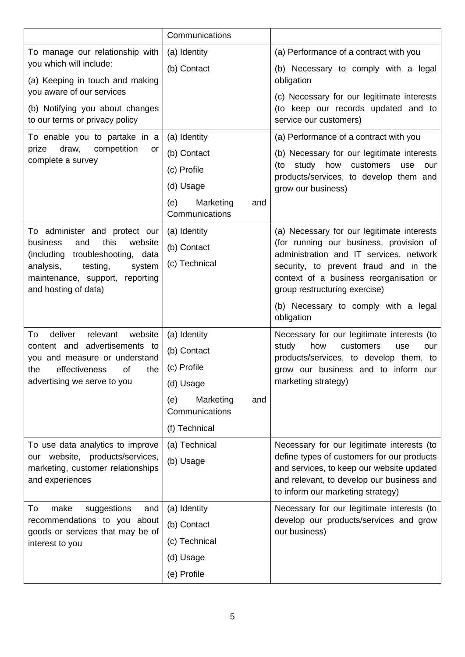|                                                                                                                         | Communications                            |                                                                                                                                 |
|-------------------------------------------------------------------------------------------------------------------------|-------------------------------------------|---------------------------------------------------------------------------------------------------------------------------------|
| To manage our relationship with<br>you which will include:                                                              | (a) Identity                              | (a) Performance of a contract with you                                                                                          |
|                                                                                                                         | (b) Contact                               | (b) Necessary to comply with a legal                                                                                            |
| (a) Keeping in touch and making<br>you aware of our services                                                            |                                           | obligation                                                                                                                      |
| (b) Notifying you about changes<br>to our terms or privacy policy                                                       |                                           | (c) Necessary for our legitimate interests<br>(to keep our records updated and to<br>service our customers)                     |
| To enable you to partake in a<br>draw,<br>competition<br>prize<br>or<br>complete a survey                               | (a) Identity                              | (a) Performance of a contract with you                                                                                          |
|                                                                                                                         | (b) Contact                               | (b) Necessary for our legitimate interests                                                                                      |
|                                                                                                                         | (c) Profile                               | (to study how<br>customers<br>use<br>our<br>products/services, to develop them and                                              |
|                                                                                                                         | (d) Usage                                 | grow our business)                                                                                                              |
|                                                                                                                         | Marketing<br>(e)<br>and<br>Communications |                                                                                                                                 |
| To administer and protect our                                                                                           | (a) Identity                              | (a) Necessary for our legitimate interests                                                                                      |
| this<br>business<br>and<br>website<br>troubleshooting,<br>(including<br>data                                            | (b) Contact                               | (for running our business, provision of<br>administration and IT services, network                                              |
| testing,<br>analysis,<br>system                                                                                         | (c) Technical                             | security, to prevent fraud and in the                                                                                           |
| maintenance, support,<br>reporting<br>and hosting of data)                                                              |                                           | context of a business reorganisation or<br>group restructuring exercise)                                                        |
|                                                                                                                         |                                           | (b) Necessary to comply with a legal<br>obligation                                                                              |
| deliver<br>relevant<br>website<br>To<br>content and advertisements<br>to<br>you and measure or understand               | (a) Identity                              | Necessary for our legitimate interests (to<br>study<br>how<br>customers<br>use<br>our<br>products/services, to develop them, to |
|                                                                                                                         | (b) Contact                               |                                                                                                                                 |
| effectiveness<br>of<br>the<br>the                                                                                       | (c) Profile                               | grow our business and to inform our                                                                                             |
| advertising we serve to you                                                                                             | (d) Usage                                 | marketing strategy)                                                                                                             |
|                                                                                                                         | Marketing<br>(e)<br>and<br>Communications |                                                                                                                                 |
|                                                                                                                         | (f) Technical                             |                                                                                                                                 |
| To use data analytics to improve                                                                                        | (a) Technical                             | Necessary for our legitimate interests (to                                                                                      |
| our website, products/services,<br>marketing, customer relationships                                                    | (b) Usage                                 | define types of customers for our products<br>and services, to keep our website updated                                         |
| and experiences                                                                                                         |                                           | and relevant, to develop our business and                                                                                       |
|                                                                                                                         |                                           | to inform our marketing strategy)                                                                                               |
| make<br>suggestions<br>To<br>and<br>recommendations to you about<br>goods or services that may be of<br>interest to you | (a) Identity                              | Necessary for our legitimate interests (to<br>develop our products/services and grow<br>our business)                           |
|                                                                                                                         | (b) Contact                               |                                                                                                                                 |
|                                                                                                                         | (c) Technical                             |                                                                                                                                 |
|                                                                                                                         | (d) Usage                                 |                                                                                                                                 |
|                                                                                                                         | (e) Profile                               |                                                                                                                                 |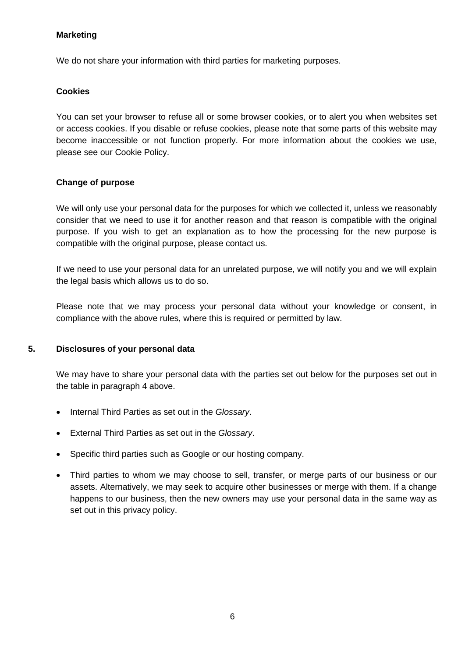# **Marketing**

We do not share your information with third parties for marketing purposes.

## **Cookies**

You can set your browser to refuse all or some browser cookies, or to alert you when websites set or access cookies. If you disable or refuse cookies, please note that some parts of this website may become inaccessible or not function properly. For more information about the cookies we use, please see our Cookie Policy.

## **Change of purpose**

We will only use your personal data for the purposes for which we collected it, unless we reasonably consider that we need to use it for another reason and that reason is compatible with the original purpose. If you wish to get an explanation as to how the processing for the new purpose is compatible with the original purpose, please contact us.

If we need to use your personal data for an unrelated purpose, we will notify you and we will explain the legal basis which allows us to do so.

Please note that we may process your personal data without your knowledge or consent, in compliance with the above rules, where this is required or permitted by law.

### **5. Disclosures of your personal data**

We may have to share your personal data with the parties set out below for the purposes set out in the table in paragraph 4 above.

- Internal Third Parties as set out in the *Glossary*.
- External Third Parties as set out in the *Glossary*.
- Specific third parties such as Google or our hosting company.
- Third parties to whom we may choose to sell, transfer, or merge parts of our business or our assets. Alternatively, we may seek to acquire other businesses or merge with them. If a change happens to our business, then the new owners may use your personal data in the same way as set out in this privacy policy.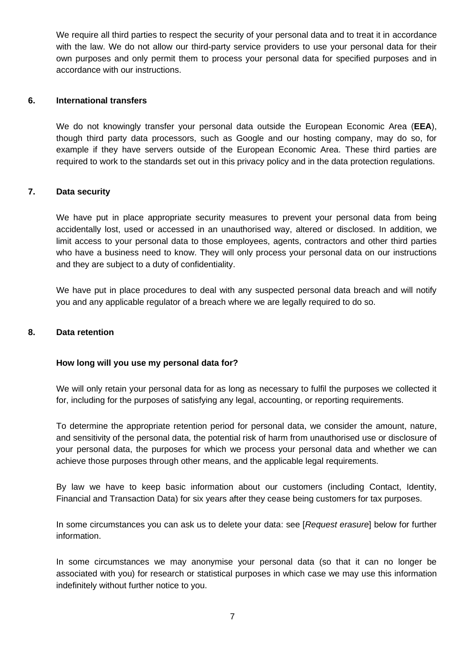We require all third parties to respect the security of your personal data and to treat it in accordance with the law. We do not allow our third-party service providers to use your personal data for their own purposes and only permit them to process your personal data for specified purposes and in accordance with our instructions.

### **6. International transfers**

We do not knowingly transfer your personal data outside the European Economic Area (**EEA**), though third party data processors, such as Google and our hosting company, may do so, for example if they have servers outside of the European Economic Area. These third parties are required to work to the standards set out in this privacy policy and in the data protection regulations.

### **7. Data security**

We have put in place appropriate security measures to prevent your personal data from being accidentally lost, used or accessed in an unauthorised way, altered or disclosed. In addition, we limit access to your personal data to those employees, agents, contractors and other third parties who have a business need to know. They will only process your personal data on our instructions and they are subject to a duty of confidentiality.

We have put in place procedures to deal with any suspected personal data breach and will notify you and any applicable regulator of a breach where we are legally required to do so.

#### **8. Data retention**

#### **How long will you use my personal data for?**

We will only retain your personal data for as long as necessary to fulfil the purposes we collected it for, including for the purposes of satisfying any legal, accounting, or reporting requirements.

To determine the appropriate retention period for personal data, we consider the amount, nature, and sensitivity of the personal data, the potential risk of harm from unauthorised use or disclosure of your personal data, the purposes for which we process your personal data and whether we can achieve those purposes through other means, and the applicable legal requirements.

By law we have to keep basic information about our customers (including Contact, Identity, Financial and Transaction Data) for six years after they cease being customers for tax purposes.

In some circumstances you can ask us to delete your data: see [*Request erasure*] below for further information.

In some circumstances we may anonymise your personal data (so that it can no longer be associated with you) for research or statistical purposes in which case we may use this information indefinitely without further notice to you.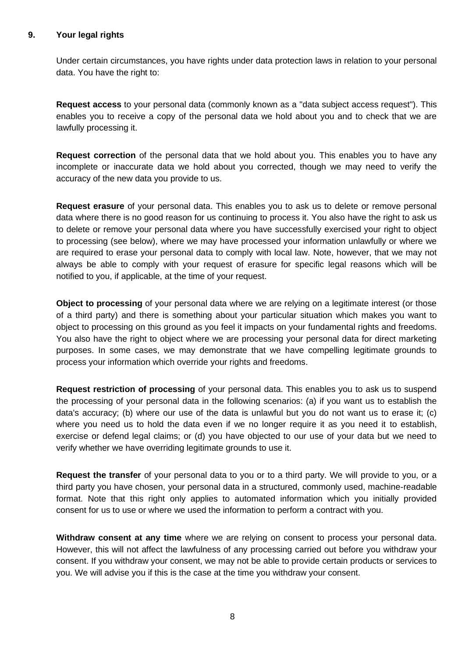### **9. Your legal rights**

Under certain circumstances, you have rights under data protection laws in relation to your personal data. You have the right to:

**Request access** to your personal data (commonly known as a "data subject access request"). This enables you to receive a copy of the personal data we hold about you and to check that we are lawfully processing it.

**Request correction** of the personal data that we hold about you. This enables you to have any incomplete or inaccurate data we hold about you corrected, though we may need to verify the accuracy of the new data you provide to us.

**Request erasure** of your personal data. This enables you to ask us to delete or remove personal data where there is no good reason for us continuing to process it. You also have the right to ask us to delete or remove your personal data where you have successfully exercised your right to object to processing (see below), where we may have processed your information unlawfully or where we are required to erase your personal data to comply with local law. Note, however, that we may not always be able to comply with your request of erasure for specific legal reasons which will be notified to you, if applicable, at the time of your request.

**Object to processing** of your personal data where we are relying on a legitimate interest (or those of a third party) and there is something about your particular situation which makes you want to object to processing on this ground as you feel it impacts on your fundamental rights and freedoms. You also have the right to object where we are processing your personal data for direct marketing purposes. In some cases, we may demonstrate that we have compelling legitimate grounds to process your information which override your rights and freedoms.

**Request restriction of processing** of your personal data. This enables you to ask us to suspend the processing of your personal data in the following scenarios: (a) if you want us to establish the data's accuracy; (b) where our use of the data is unlawful but you do not want us to erase it; (c) where you need us to hold the data even if we no longer require it as you need it to establish, exercise or defend legal claims; or (d) you have objected to our use of your data but we need to verify whether we have overriding legitimate grounds to use it.

**Request the transfer** of your personal data to you or to a third party. We will provide to you, or a third party you have chosen, your personal data in a structured, commonly used, machine-readable format. Note that this right only applies to automated information which you initially provided consent for us to use or where we used the information to perform a contract with you.

**Withdraw consent at any time** where we are relying on consent to process your personal data. However, this will not affect the lawfulness of any processing carried out before you withdraw your consent. If you withdraw your consent, we may not be able to provide certain products or services to you. We will advise you if this is the case at the time you withdraw your consent.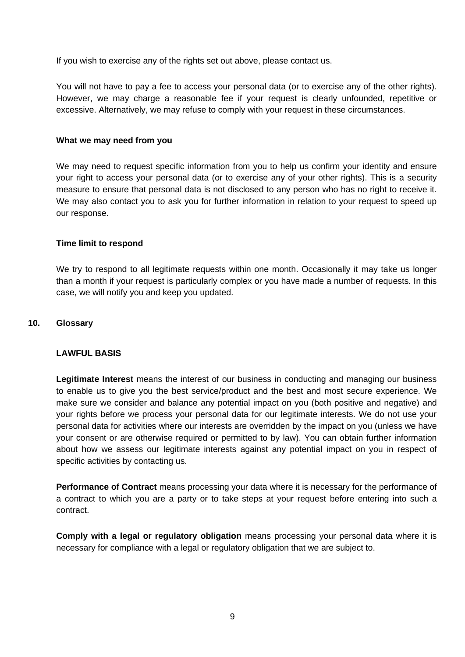If you wish to exercise any of the rights set out above, please contact us.

You will not have to pay a fee to access your personal data (or to exercise any of the other rights). However, we may charge a reasonable fee if your request is clearly unfounded, repetitive or excessive. Alternatively, we may refuse to comply with your request in these circumstances.

#### **What we may need from you**

We may need to request specific information from you to help us confirm your identity and ensure your right to access your personal data (or to exercise any of your other rights). This is a security measure to ensure that personal data is not disclosed to any person who has no right to receive it. We may also contact you to ask you for further information in relation to your request to speed up our response.

### **Time limit to respond**

We try to respond to all legitimate requests within one month. Occasionally it may take us longer than a month if your request is particularly complex or you have made a number of requests. In this case, we will notify you and keep you updated.

### **10. Glossary**

### **LAWFUL BASIS**

**Legitimate Interest** means the interest of our business in conducting and managing our business to enable us to give you the best service/product and the best and most secure experience. We make sure we consider and balance any potential impact on you (both positive and negative) and your rights before we process your personal data for our legitimate interests. We do not use your personal data for activities where our interests are overridden by the impact on you (unless we have your consent or are otherwise required or permitted to by law). You can obtain further information about how we assess our legitimate interests against any potential impact on you in respect of specific activities by contacting us.

**Performance of Contract** means processing your data where it is necessary for the performance of a contract to which you are a party or to take steps at your request before entering into such a contract.

**Comply with a legal or regulatory obligation** means processing your personal data where it is necessary for compliance with a legal or regulatory obligation that we are subject to.